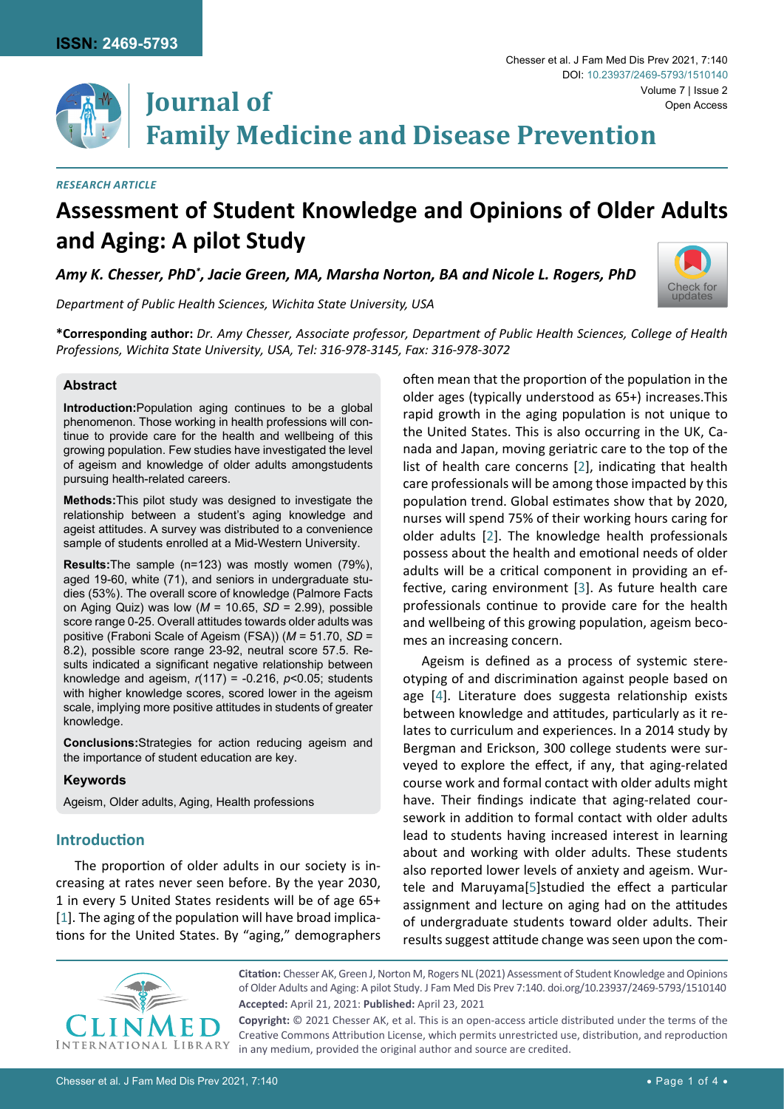

# **Family Medicine and Disease Prevention**

#### *Research Article*

# **Assessment of Student Knowledge and Opinions of Older Adults and Aging: A pilot Study**

Amy K. Chesser, PhD $^*$ , Jacie Green, MA, Marsha Norton, BA and Nicole L. Rogers, PhD



*Department of Public Health Sciences, Wichita State University, USA*

**\*Corresponding author:** *Dr. Amy Chesser, Associate professor, Department of Public Health Sciences, College of Health Professions, Wichita State University, USA, Tel: 316-978-3145, Fax: 316-978-3072*

#### **Abstract**

**Introduction:**Population aging continues to be a global phenomenon. Those working in health professions will continue to provide care for the health and wellbeing of this growing population. Few studies have investigated the level of ageism and knowledge of older adults amongstudents pursuing health-related careers.

**Methods:**This pilot study was designed to investigate the relationship between a student's aging knowledge and ageist attitudes. A survey was distributed to a convenience sample of students enrolled at a Mid-Western University.

**Results:**The sample (n=123) was mostly women (79%), aged 19-60, white (71), and seniors in undergraduate studies (53%). The overall score of knowledge (Palmore Facts on Aging Quiz) was low (*M* = 10.65, *SD* = 2.99), possible score range 0-25. Overall attitudes towards older adults was positive (Fraboni Scale of Ageism (FSA)) (*M* = 51.70, *SD* = 8.2), possible score range 23-92, neutral score 57.5. Results indicated a significant negative relationship between knowledge and ageism, *r*(117) = -0.216, *p*<0.05; students with higher knowledge scores, scored lower in the ageism scale, implying more positive attitudes in students of greater knowledge.

**Conclusions:**Strategies for action reducing ageism and the importance of student education are key.

#### **Keywords**

Ageism, Older adults, Aging, Health professions

# **Introduction**

The proportion of older adults in our society is increasing at rates never seen before. By the year 2030, 1 in every 5 United States residents will be of age 65+ [[1](#page-2-4)]. The aging of the population will have broad implications for the United States. By "aging," demographers

often mean that the proportion of the population in the older ages (typically understood as 65+) increases.This rapid growth in the aging population is not unique to the United States. This is also occurring in the UK, Canada and Japan, moving geriatric care to the top of the list of health care concerns [[2](#page-2-0)], indicating that health care professionals will be among those impacted by this population trend. Global estimates show that by 2020, nurses will spend 75% of their working hours caring for older adults [[2](#page-2-0)]. The knowledge health professionals possess about the health and emotional needs of older adults will be a critical component in providing an effective, caring environment [[3\]](#page-2-1). As future health care professionals continue to provide care for the health and wellbeing of this growing population, ageism becomes an increasing concern.

Ageism is defined as a process of systemic stereotyping of and discrimination against people based on age [[4](#page-2-2)]. Literature does suggesta relationship exists between knowledge and attitudes, particularly as it relates to curriculum and experiences. In a 2014 study by Bergman and Erickson, 300 college students were surveyed to explore the effect, if any, that aging-related course work and formal contact with older adults might have. Their findings indicate that aging-related coursework in addition to formal contact with older adults lead to students having increased interest in learning about and working with older adults. These students also reported lower levels of anxiety and ageism. Wurtele and Maruyama[[5](#page-2-3)]studied the effect a particular assignment and lecture on aging had on the attitudes of undergraduate students toward older adults. Their results suggest attitude change was seen upon the com-



**Citation:** Chesser AK, Green J, Norton M, Rogers NL (2021) Assessment of Student Knowledge and Opinions of Older Adults and Aging: A pilot Study. J Fam Med Dis Prev 7:140. [doi.org/10.23937/2469-5793/1510140](https://doi.org/10.23937/2469-5793/1510140) **Accepted:** April 21, 2021: **Published:** April 23, 2021

**Copyright:** © 2021 Chesser AK, et al. This is an open-access article distributed under the terms of the Creative Commons Attribution License, which permits unrestricted use, distribution, and reproduction in any medium, provided the original author and source are credited.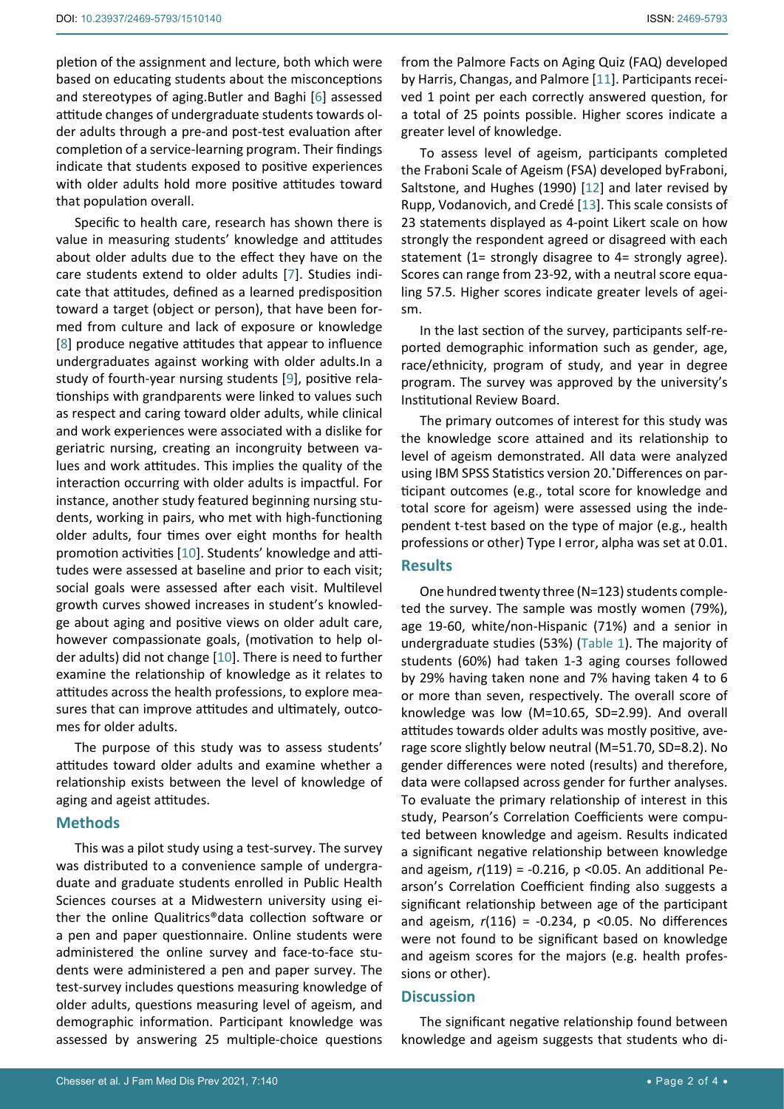completion of a service-learning program. Their findings indicate that students exposed to positive experiences with older adults hold more positive attitudes toward that population overall.

Specific to health care, research has shown there is value in measuring students' knowledge and attitudes about older adults due to the effect they have on the care students extend to older adults [[7](#page-2-6)]. Studies indicate that attitudes, defined as a learned predisposition toward a target (object or person), that have been formed from culture and lack of exposure or knowledge [[8](#page-3-0)] produce negative attitudes that appear to influence undergraduates against working with older adults.In a study of fourth-year nursing students [\[9](#page-3-1)], positive relationships with grandparents were linked to values such as respect and caring toward older adults, while clinical and work experiences were associated with a dislike for geriatric nursing, creating an incongruity between values and work attitudes. This implies the quality of the interaction occurring with older adults is impactful. For instance, another study featured beginning nursing students, working in pairs, who met with high-functioning older adults, four times over eight months for health promotion activities [[10](#page-3-2)]. Students' knowledge and attitudes were assessed at baseline and prior to each visit; social goals were assessed after each visit. Multilevel growth curves showed increases in student's knowledge about aging and positive views on older adult care, however compassionate goals, (motivation to help older adults) did not change [[10](#page-3-2)]. There is need to further examine the relationship of knowledge as it relates to attitudes across the health professions, to explore measures that can improve attitudes and ultimately, outcomes for older adults.

The purpose of this study was to assess students' attitudes toward older adults and examine whether a relationship exists between the level of knowledge of aging and ageist attitudes.

#### **Methods**

This was a pilot study using a test-survey. The survey was distributed to a convenience sample of undergraduate and graduate students enrolled in Public Health Sciences courses at a Midwestern university using either the online Qualitrics®data collection software or a pen and paper questionnaire. Online students were administered the online survey and face-to-face students were administered a pen and paper survey. The test-survey includes questions measuring knowledge of older adults, questions measuring level of ageism, and demographic information. Participant knowledge was assessed by answering 25 multiple-choice questions from the Palmore Facts on Aging Quiz (FAQ) developed by Harris, Changas, and Palmore [[11](#page-3-3)]. Participants received 1 point per each correctly answered question, for a total of 25 points possible. Higher scores indicate a greater level of knowledge.

To assess level of ageism, participants completed the Fraboni Scale of Ageism (FSA) developed byFraboni, Saltstone, and Hughes (1990) [[12](#page-3-4)] and later revised by Rupp, Vodanovich, and Credé [[13\]](#page-3-5). This scale consists of 23 statements displayed as 4-point Likert scale on how strongly the respondent agreed or disagreed with each statement (1= strongly disagree to 4= strongly agree). Scores can range from 23-92, with a neutral score equaling 57.5. Higher scores indicate greater levels of ageism.

In the last section of the survey, participants self-reported demographic information such as gender, age, race/ethnicity, program of study, and year in degree program. The survey was approved by the university's Institutional Review Board.

The primary outcomes of interest for this study was the knowledge score attained and its relationship to level of ageism demonstrated. All data were analyzed using IBM SPSS Statistics version 20.\* Differences on participant outcomes (e.g., total score for knowledge and total score for ageism) were assessed using the independent t-test based on the type of major (e.g., health professions or other) Type I error, alpha was set at 0.01.

#### **Results**

One hundred twenty three (N=123) students completed the survey. The sample was mostly women (79%), age 19-60, white/non-Hispanic (71%) and a senior in undergraduate studies (53%) ([Table 1](#page-2-7)). The majority of students (60%) had taken 1-3 aging courses followed by 29% having taken none and 7% having taken 4 to 6 or more than seven, respectively. The overall score of knowledge was low (M=10.65, SD=2.99). And overall attitudes towards older adults was mostly positive, average score slightly below neutral (M=51.70, SD=8.2). No gender differences were noted (results) and therefore, data were collapsed across gender for further analyses. To evaluate the primary relationship of interest in this study, Pearson's Correlation Coefficients were computed between knowledge and ageism. Results indicated a significant negative relationship between knowledge and ageism, *r*(119) = -0.216, p <0.05. An additional Pearson's Correlation Coefficient finding also suggests a significant relationship between age of the participant and ageism, *r*(116) = -0.234, p <0.05. No differences were not found to be significant based on knowledge and ageism scores for the majors (e.g. health professions or other).

#### **Discussion**

The significant negative relationship found between knowledge and ageism suggests that students who di-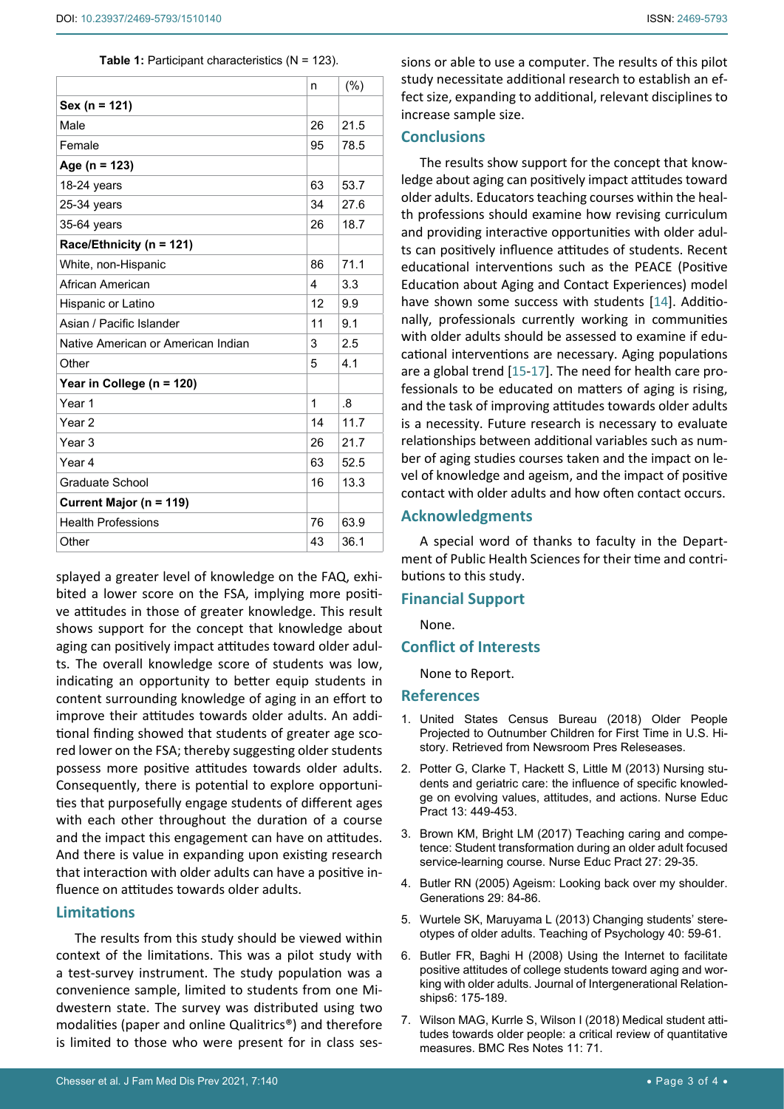#### <span id="page-2-7"></span>**Table 1: Participant characteristics (N = 123).**

|                                    | n              | (% )          |
|------------------------------------|----------------|---------------|
| Sex (n = 121)                      |                |               |
| Male                               | 26             | 21.5          |
| Female                             | 95             | 78.5          |
| Age (n = 123)                      |                |               |
| 18-24 years                        | 63             | 53.7          |
| 25-34 years                        | 34             | 27.6          |
| 35-64 years                        | 26             | 18.7          |
| Race/Ethnicity (n = 121)           |                |               |
| White, non-Hispanic                | 86             | 71.1          |
| African American                   | $\overline{4}$ | 3.3           |
| Hispanic or Latino                 | 12             | 9.9           |
| Asian / Pacific Islander           | 11             | 9.1           |
| Native American or American Indian | 3              | 2.5           |
| Other                              | 5              | 4.1           |
| Year in College (n = 120)          |                |               |
| Year <sub>1</sub>                  | 1              | $\mathcal{B}$ |
| Year <sub>2</sub>                  | 14             | 11.7          |
| Year <sub>3</sub>                  | 26             | 21.7          |
| Year 4                             | 63             | 52.5          |
| Graduate School                    | 16             | 13.3          |
| Current Major (n = 119)            |                |               |
| <b>Health Professions</b>          | 76             | 63.9          |
| Other                              | 43             | 36.1          |

splayed a greater level of knowledge on the FAQ, exhibited a lower score on the FSA, implying more positive attitudes in those of greater knowledge. This result shows support for the concept that knowledge about aging can positively impact attitudes toward older adults. The overall knowledge score of students was low, indicating an opportunity to better equip students in content surrounding knowledge of aging in an effort to improve their attitudes towards older adults. An additional finding showed that students of greater age scored lower on the FSA; thereby suggesting older students possess more positive attitudes towards older adults. Consequently, there is potential to explore opportunities that purposefully engage students of different ages with each other throughout the duration of a course and the impact this engagement can have on attitudes. And there is value in expanding upon existing research that interaction with older adults can have a positive influence on attitudes towards older adults.

# **Limitations**

The results from this study should be viewed within context of the limitations. This was a pilot study with a test-survey instrument. The study population was a convenience sample, limited to students from one Midwestern state. The survey was distributed using two modalities (paper and online Qualitrics®) and therefore is limited to those who were present for in class ses-

# **Conclusions**

The results show support for the concept that knowledge about aging can positively impact attitudes toward older adults. Educators teaching courses within the health professions should examine how revising curriculum and providing interactive opportunities with older adults can positively influence attitudes of students. Recent educational interventions such as the PEACE (Positive Education about Aging and Contact Experiences) model have shown some success with students [\[14](#page-3-6)]. Additionally, professionals currently working in communities with older adults should be assessed to examine if educational interventions are necessary. Aging populations are a global trend [[15](#page-3-7)[-17](#page-3-8)]. The need for health care professionals to be educated on matters of aging is rising, and the task of improving attitudes towards older adults is a necessity. Future research is necessary to evaluate relationships between additional variables such as number of aging studies courses taken and the impact on level of knowledge and ageism, and the impact of positive contact with older adults and how often contact occurs.

#### **Acknowledgments**

A special word of thanks to faculty in the Department of Public Health Sciences for their time and contributions to this study.

#### **Financial Support**

None.

### **Conflict of Interests**

None to Report.

#### **References**

- <span id="page-2-4"></span>1. [United States Census Bureau \(2018\) Older People](https://www.census.gov/newsroom/press-releases/2018/cb18-41-population-projections.html)  [Projected to Outnumber Children for First Time in U.S. Hi](https://www.census.gov/newsroom/press-releases/2018/cb18-41-population-projections.html)[story. Retrieved from Newsroom Pres Releseases.](https://www.census.gov/newsroom/press-releases/2018/cb18-41-population-projections.html)
- <span id="page-2-0"></span>2. [Potter G, Clarke T, Hackett S, Little M \(2013\) Nursing stu](https://pubmed.ncbi.nlm.nih.gov/23465846/)[dents and geriatric care: the influence of specific knowled](https://pubmed.ncbi.nlm.nih.gov/23465846/)[ge on evolving values, attitudes, and actions. Nurse Educ](https://pubmed.ncbi.nlm.nih.gov/23465846/)  [Pract 13: 449-453.](https://pubmed.ncbi.nlm.nih.gov/23465846/)
- <span id="page-2-1"></span>3. [Brown KM, Bright LM \(2017\) Teaching caring and compe](https://pubmed.ncbi.nlm.nih.gov/28841471/)[tence: Student transformation during an older adult focused](https://pubmed.ncbi.nlm.nih.gov/28841471/)  [service-learning course. Nurse Educ Pract 27: 29-35.](https://pubmed.ncbi.nlm.nih.gov/28841471/)
- <span id="page-2-2"></span>4. [Butler RN \(2005\) Ageism: Looking back over my shoulder.](https://www.jstor.org/stable/26555422?seq=1#metadata_info_tab_contents)  [Generations 29: 84-86.](https://www.jstor.org/stable/26555422?seq=1#metadata_info_tab_contents)
- <span id="page-2-3"></span>5. [Wurtele SK, Maruyama L \(2013\) Changing students' stere](https://journals.sagepub.com/doi/abs/10.1177/0098628312465867)[otypes of older adults. Teaching of Psychology 40: 59-61.](https://journals.sagepub.com/doi/abs/10.1177/0098628312465867)
- <span id="page-2-5"></span>6. [Butler FR, Baghi H \(2008\) Using the Internet to facilitate](https://www.tandfonline.com/doi/abs/10.1080/15350770801955305)  [positive attitudes of college students toward aging and wor](https://www.tandfonline.com/doi/abs/10.1080/15350770801955305)[king with older adults. Journal of Intergenerational Relation](https://www.tandfonline.com/doi/abs/10.1080/15350770801955305)[ships6: 175-189.](https://www.tandfonline.com/doi/abs/10.1080/15350770801955305)
- <span id="page-2-6"></span>7. [Wilson MAG, Kurrle S, Wilson I \(2018\) Medical student atti](https://pubmed.ncbi.nlm.nih.gov/29361969/)[tudes towards older people: a critical review of quantitative](https://pubmed.ncbi.nlm.nih.gov/29361969/)  [measures. BMC Res Notes 11: 71.](https://pubmed.ncbi.nlm.nih.gov/29361969/)